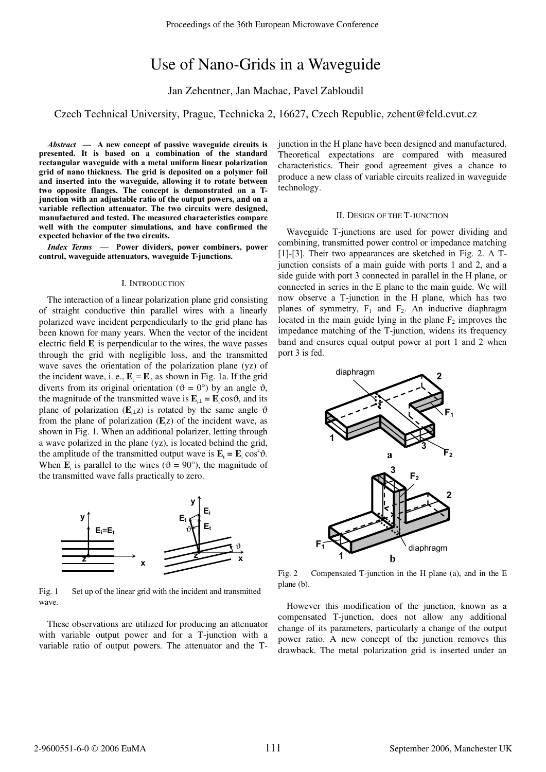# Use of Nano-Grids in a Waveguide

Jan Zehentner, Jan Machac, Pavel Zabloudil

# Czech Technical University, Prague, Technicka 2, 16627, Czech Republic, zehent@feld.cvut.cz

*Abstract* **— A new concept of passive waveguide circuits is presented. It is based on a combination of the standard rectangular waveguide with a metal uniform linear polarization grid of nano thickness. The grid is deposited on a polymer foil and inserted into the waveguide, allowing it to rotate between two opposite flanges. The concept is demonstrated on a Tjunction with an adjustable ratio of the output powers, and on a variable reflection attenuator. The two circuits were designed, manufactured and tested. The measured characteristics compare well with the computer simulations, and have confirmed the expected behavior of the two circuits.** 

*Index Terms* **— Power dividers, power combiners, power control, waveguide attenuators, waveguide T-junctions.**

#### I. INTRODUCTION

The interaction of a linear polarization plane grid consisting of straight conductive thin parallel wires with a linearly polarized wave incident perpendicularly to the grid plane has been known for many years. When the vector of the incident electric field  $\mathbf{E}_{i}$  is perpendicular to the wires, the wave passes through the grid with negligible loss, and the transmitted wave saves the orientation of the polarization plane (yz) of the incident wave, i. e.,  $\mathbf{E}_{t} = \mathbf{E}_{t}$ , as shown in Fig. 1a. If the grid diverts from its original orientation ( $\vartheta = 0^{\circ}$ ) by an angle  $\vartheta$ , the magnitude of the transmitted wave is  $\mathbf{E}_{\cdot\perp} = \mathbf{E}_{\cdot} \cos \vartheta$ , and its plane of polarization ( $\mathbf{E}_{\perp}$ z) is rotated by the same angle  $\vartheta$ from the plane of polarization  $(E<sub>i</sub>z)$  of the incident wave, as shown in Fig. 1. When an additional polarizer, letting through a wave polarized in the plane (yz), is located behind the grid, the amplitude of the transmitted output wave is  $\mathbf{E}_t = \mathbf{E}_i \cos^2 \theta$ . When  $\mathbf{E}_i$  is parallel to the wires ( $\vartheta = 90^\circ$ ), the magnitude of the transmitted wave falls practically to zero.



Fig. 1 Set up of the linear grid with the incident and transmitted wave.

These observations are utilized for producing an attenuator with variable output power and for a T-junction with a variable ratio of output powers. The attenuator and the T-

junction in the H plane have been designed and manufactured. Theoretical expectations are compared with measured characteristics. Their good agreement gives a chance to produce a new class of variable circuits realized in waveguide technology.

#### II. DESIGN OF THE T-JUNCTION

Waveguide T-junctions are used for power dividing and combining, transmitted power control or impedance matching [1]-[3]. Their two appearances are sketched in Fig. 2. A Tjunction consists of a main guide with ports 1 and 2, and a side guide with port 3 connected in parallel in the H plane, or connected in series in the E plane to the main guide. We will now observe a T-junction in the H plane, which has two planes of symmetry,  $F_1$  and  $F_2$ . An inductive diaphragm located in the main guide lying in the plane  $F_2$  improves the impedance matching of the T-junction, widens its frequency band and ensures equal output power at port 1 and 2 when port 3 is fed.



Fig. 2 Compensated T-junction in the H plane (a), and in the E plane (b).

However this modification of the junction, known as a compensated T-junction, does not allow any additional change of its parameters, particularly a change of the output power ratio. A new concept of the junction removes this drawback. The metal polarization grid is inserted under an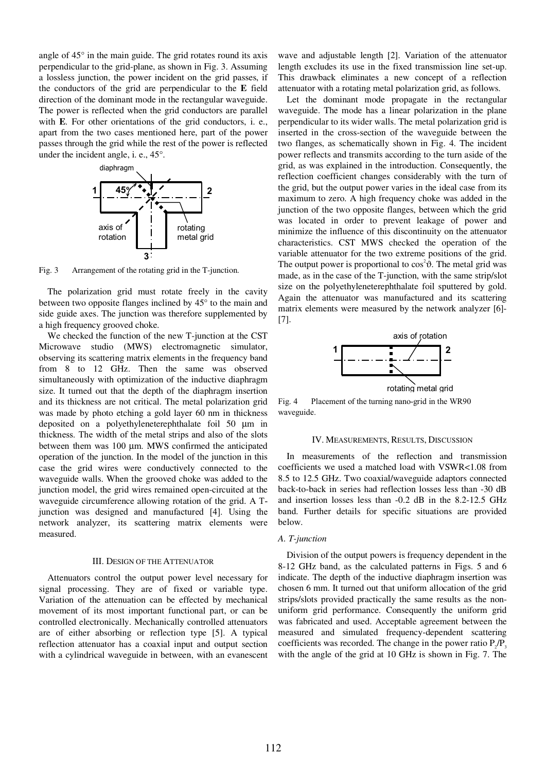angle of 45° in the main guide. The grid rotates round its axis perpendicular to the grid-plane, as shown in Fig. 3. Assuming a lossless junction, the power incident on the grid passes, if the conductors of the grid are perpendicular to the **E** field direction of the dominant mode in the rectangular waveguide. The power is reflected when the grid conductors are parallel with **E**. For other orientations of the grid conductors, i. e., apart from the two cases mentioned here, part of the power passes through the grid while the rest of the power is reflected under the incident angle, i. e., 45°.



Fig. 3 Arrangement of the rotating grid in the T-junction.

The polarization grid must rotate freely in the cavity between two opposite flanges inclined by 45° to the main and side guide axes. The junction was therefore supplemented by a high frequency grooved choke.

We checked the function of the new T-junction at the CST Microwave studio (MWS) electromagnetic simulator, observing its scattering matrix elements in the frequency band from 8 to 12 GHz. Then the same was observed simultaneously with optimization of the inductive diaphragm size. It turned out that the depth of the diaphragm insertion and its thickness are not critical. The metal polarization grid was made by photo etching a gold layer 60 nm in thickness deposited on a polyethyleneterephthalate foil 50 μm in thickness. The width of the metal strips and also of the slots between them was 100 μm. MWS confirmed the anticipated operation of the junction. In the model of the junction in this case the grid wires were conductively connected to the waveguide walls. When the grooved choke was added to the junction model, the grid wires remained open-circuited at the waveguide circumference allowing rotation of the grid. A Tjunction was designed and manufactured [4]. Using the network analyzer, its scattering matrix elements were measured.

### III. DESIGN OF THE ATTENUATOR

Attenuators control the output power level necessary for signal processing. They are of fixed or variable type. Variation of the attenuation can be effected by mechanical movement of its most important functional part, or can be controlled electronically. Mechanically controlled attenuators are of either absorbing or reflection type [5]. A typical reflection attenuator has a coaxial input and output section with a cylindrical waveguide in between, with an evanescent

wave and adjustable length [2]. Variation of the attenuator length excludes its use in the fixed transmission line set-up. This drawback eliminates a new concept of a reflection attenuator with a rotating metal polarization grid, as follows.

Let the dominant mode propagate in the rectangular waveguide. The mode has a linear polarization in the plane perpendicular to its wider walls. The metal polarization grid is inserted in the cross-section of the waveguide between the two flanges, as schematically shown in Fig. 4. The incident power reflects and transmits according to the turn aside of the grid, as was explained in the introduction. Consequently, the reflection coefficient changes considerably with the turn of the grid, but the output power varies in the ideal case from its maximum to zero. A high frequency choke was added in the junction of the two opposite flanges, between which the grid was located in order to prevent leakage of power and minimize the influence of this discontinuity on the attenuator characteristics. CST MWS checked the operation of the variable attenuator for the two extreme positions of the grid. The output power is proportional to  $\cos^2 \theta$ . The metal grid was made, as in the case of the T-junction, with the same strip/slot size on the polyethyleneterephthalate foil sputtered by gold. Again the attenuator was manufactured and its scattering matrix elements were measured by the network analyzer [6]- [7].



Fig. 4 Placement of the turning nano-grid in the WR90 waveguide.

#### IV. MEASUREMENTS, RESULTS, DISCUSSION

In measurements of the reflection and transmission coefficients we used a matched load with VSWR<1.08 from 8.5 to 12.5 GHz. Two coaxial/waveguide adaptors connected back-to-back in series had reflection losses less than -30 dB and insertion losses less than -0.2 dB in the 8.2-12.5 GHz band. Further details for specific situations are provided below.

#### *A. T-junction*

Division of the output powers is frequency dependent in the 8-12 GHz band, as the calculated patterns in Figs. 5 and 6 indicate. The depth of the inductive diaphragm insertion was chosen 6 mm. It turned out that uniform allocation of the grid strips/slots provided practically the same results as the nonuniform grid performance. Consequently the uniform grid was fabricated and used. Acceptable agreement between the measured and simulated frequency-dependent scattering coefficients was recorded. The change in the power ratio  $P_{\alpha}/P_{\beta}$ with the angle of the grid at 10 GHz is shown in Fig. 7. The